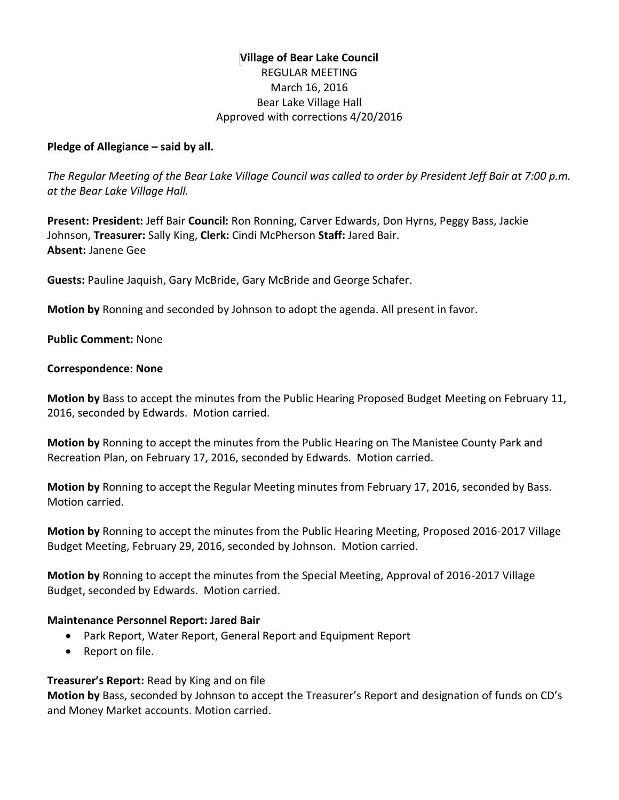# **Village of Bear Lake Council** REGULAR MEETING March 16, 2016 Bear Lake Village Hall Approved with corrections 4/20/2016

### **Pledge of Allegiance – said by all.**

*The Regular Meeting of the Bear Lake Village Council was called to order by President Jeff Bair at 7:00 p.m. at the Bear Lake Village Hall.*

**Present: President:** Jeff Bair **Council:** Ron Ronning, Carver Edwards, Don Hyrns, Peggy Bass, Jackie Johnson, **Treasurer:** Sally King, **Clerk:** Cindi McPherson **Staff:** Jared Bair. **Absent:** Janene Gee

**Guests:** Pauline Jaquish, Gary McBride, Gary McBride and George Schafer.

**Motion by** Ronning and seconded by Johnson to adopt the agenda. All present in favor.

**Public Comment:** None

#### **Correspondence: None**

**Motion by** Bass to accept the minutes from the Public Hearing Proposed Budget Meeting on February 11, 2016, seconded by Edwards. Motion carried.

**Motion by** Ronning to accept the minutes from the Public Hearing on The Manistee County Park and Recreation Plan, on February 17, 2016, seconded by Edwards. Motion carried.

**Motion by** Ronning to accept the Regular Meeting minutes from February 17, 2016, seconded by Bass. Motion carried.

**Motion by** Ronning to accept the minutes from the Public Hearing Meeting, Proposed 2016-2017 Village Budget Meeting, February 29, 2016, seconded by Johnson. Motion carried.

**Motion by** Ronning to accept the minutes from the Special Meeting, Approval of 2016-2017 Village Budget, seconded by Edwards. Motion carried.

### **Maintenance Personnel Report: Jared Bair**

- Park Report, Water Report, General Report and Equipment Report
- Report on file.

**Treasurer's Report:** Read by King and on file

**Motion by** Bass, seconded by Johnson to accept the Treasurer's Report and designation of funds on CD's and Money Market accounts. Motion carried.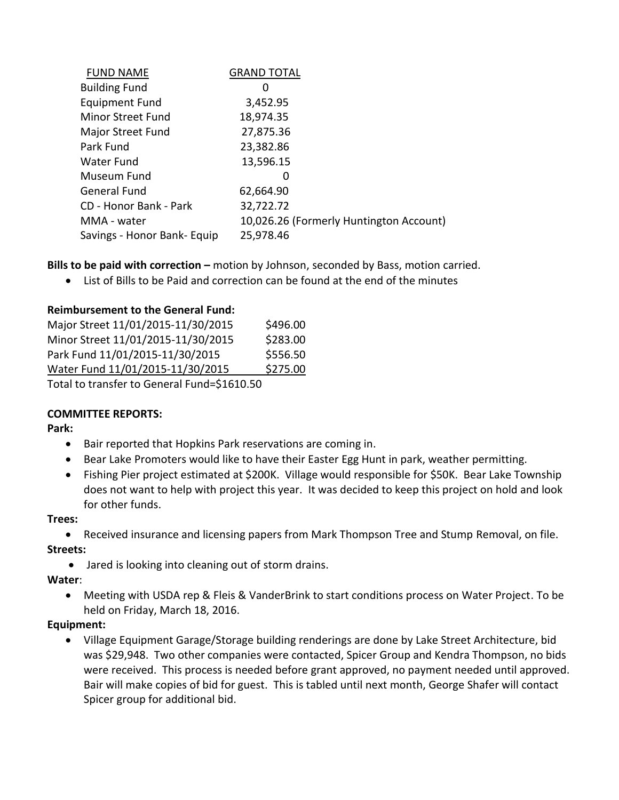| <b>FUND NAME</b>            | <b>GRAND TOTAL</b>                      |
|-----------------------------|-----------------------------------------|
| <b>Building Fund</b>        | 0                                       |
| <b>Equipment Fund</b>       | 3,452.95                                |
| Minor Street Fund           | 18,974.35                               |
| Major Street Fund           | 27,875.36                               |
| Park Fund                   | 23,382.86                               |
| Water Fund                  | 13,596.15                               |
| Museum Fund                 | 0                                       |
| <b>General Fund</b>         | 62,664.90                               |
| CD - Honor Bank - Park      | 32,722.72                               |
| MMA - water                 | 10,026.26 (Formerly Huntington Account) |
| Savings - Honor Bank- Equip | 25,978.46                               |

**Bills to be paid with correction –** motion by Johnson, seconded by Bass, motion carried.

List of Bills to be Paid and correction can be found at the end of the minutes

# **Reimbursement to the General Fund:**

| Major Street 11/01/2015-11/30/2015          | \$496.00 |  |  |
|---------------------------------------------|----------|--|--|
| Minor Street 11/01/2015-11/30/2015          | \$283.00 |  |  |
| Park Fund 11/01/2015-11/30/2015             | \$556.50 |  |  |
| Water Fund 11/01/2015-11/30/2015            | \$275.00 |  |  |
| Total to transfer to General Fund=\$1610.50 |          |  |  |

# **COMMITTEE REPORTS:**

**Park:** 

- Bair reported that Hopkins Park reservations are coming in.
- Bear Lake Promoters would like to have their Easter Egg Hunt in park, weather permitting.
- Fishing Pier project estimated at \$200K. Village would responsible for \$50K. Bear Lake Township does not want to help with project this year. It was decided to keep this project on hold and look for other funds.

### **Trees:**

Received insurance and licensing papers from Mark Thompson Tree and Stump Removal, on file.

# **Streets:**

Jared is looking into cleaning out of storm drains.

# **Water**:

 Meeting with USDA rep & Fleis & VanderBrink to start conditions process on Water Project. To be held on Friday, March 18, 2016.

# **Equipment:**

 Village Equipment Garage/Storage building renderings are done by Lake Street Architecture, bid was \$29,948. Two other companies were contacted, Spicer Group and Kendra Thompson, no bids were received. This process is needed before grant approved, no payment needed until approved. Bair will make copies of bid for guest. This is tabled until next month, George Shafer will contact Spicer group for additional bid.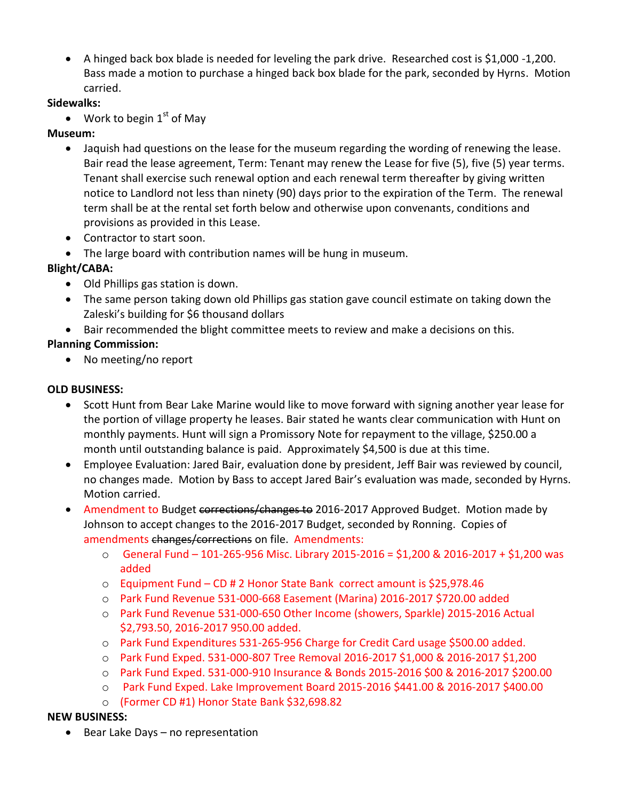A hinged back box blade is needed for leveling the park drive. Researched cost is \$1,000 -1,200. Bass made a motion to purchase a hinged back box blade for the park, seconded by Hyrns. Motion carried.

# **Sidewalks:**

• Work to begin  $1<sup>st</sup>$  of May

# **Museum:**

- Jaquish had questions on the lease for the museum regarding the wording of renewing the lease. Bair read the lease agreement, Term: Tenant may renew the Lease for five (5), five (5) year terms. Tenant shall exercise such renewal option and each renewal term thereafter by giving written notice to Landlord not less than ninety (90) days prior to the expiration of the Term. The renewal term shall be at the rental set forth below and otherwise upon convenants, conditions and provisions as provided in this Lease.
- Contractor to start soon.
- The large board with contribution names will be hung in museum.

# **Blight/CABA:**

- Old Phillips gas station is down.
- The same person taking down old Phillips gas station gave council estimate on taking down the Zaleski's building for \$6 thousand dollars
- Bair recommended the blight committee meets to review and make a decisions on this.

# **Planning Commission:**

• No meeting/no report

# **OLD BUSINESS:**

- Scott Hunt from Bear Lake Marine would like to move forward with signing another year lease for the portion of village property he leases. Bair stated he wants clear communication with Hunt on monthly payments. Hunt will sign a Promissory Note for repayment to the village, \$250.00 a month until outstanding balance is paid. Approximately \$4,500 is due at this time.
- Employee Evaluation: Jared Bair, evaluation done by president, Jeff Bair was reviewed by council, no changes made. Motion by Bass to accept Jared Bair's evaluation was made, seconded by Hyrns. Motion carried.
- Amendment to Budget corrections/changes to 2016-2017 Approved Budget. Motion made by Johnson to accept changes to the 2016-2017 Budget, seconded by Ronning. Copies of amendments changes/corrections on file. Amendments:
	- o General Fund 101-265-956 Misc. Library 2015-2016 = \$1,200 & 2016-2017 + \$1,200 was added
	- o Equipment Fund CD # 2 Honor State Bank correct amount is \$25,978.46
	- o Park Fund Revenue 531-000-668 Easement (Marina) 2016-2017 \$720.00 added
	- o Park Fund Revenue 531-000-650 Other Income (showers, Sparkle) 2015-2016 Actual \$2,793.50, 2016-2017 950.00 added.
	- o Park Fund Expenditures 531-265-956 Charge for Credit Card usage \$500.00 added.
	- o Park Fund Exped. 531-000-807 Tree Removal 2016-2017 \$1,000 & 2016-2017 \$1,200
	- o Park Fund Exped. 531-000-910 Insurance & Bonds 2015-2016 \$00 & 2016-2017 \$200.00
	- o Park Fund Exped. Lake Improvement Board 2015-2016 \$441.00 & 2016-2017 \$400.00
	- o (Former CD #1) Honor State Bank \$32,698.82

# **NEW BUSINESS:**

• Bear Lake Days – no representation